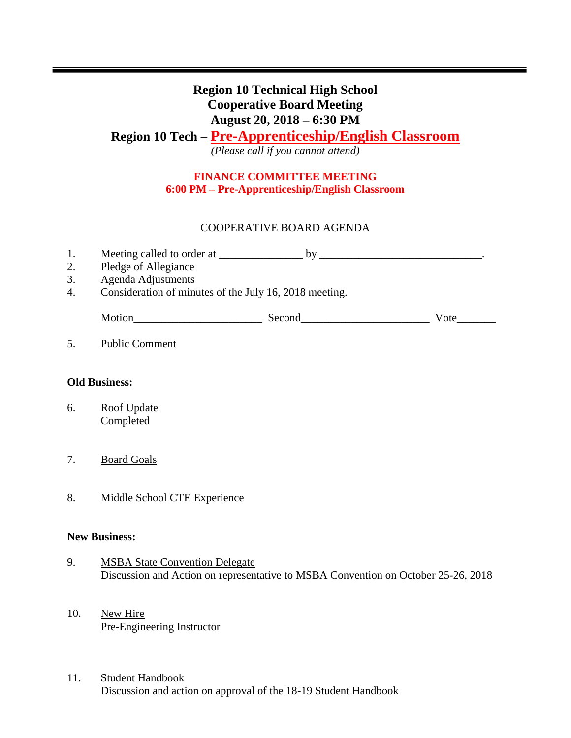# **Region 10 Technical High School Cooperative Board Meeting August 20, 2018 – 6:30 PM Region 10 Tech – Pre-Apprenticeship/English Classroom** *(Please call if you cannot attend)*

## **FINANCE COMMITTEE MEETING 6:00 PM – Pre-Apprenticeship/English Classroom**

## COOPERATIVE BOARD AGENDA

| 1.<br>2.<br>3.<br>4. | Pledge of Allegiance<br>Agenda Adjustments<br>Consideration of minutes of the July 16, 2018 meeting. | $by_{-}$ |      |
|----------------------|------------------------------------------------------------------------------------------------------|----------|------|
|                      | Motion                                                                                               | Second   | Vote |
|                      | <b>Public Comment</b>                                                                                |          |      |
| <b>Old Business:</b> |                                                                                                      |          |      |

- 6. Roof Update Completed
- 7. Board Goals
- 8. Middle School CTE Experience

### **New Business:**

- 9. MSBA State Convention Delegate Discussion and Action on representative to MSBA Convention on October 25-26, 2018
- 10. New Hire Pre-Engineering Instructor
- 11. Student Handbook Discussion and action on approval of the 18-19 Student Handbook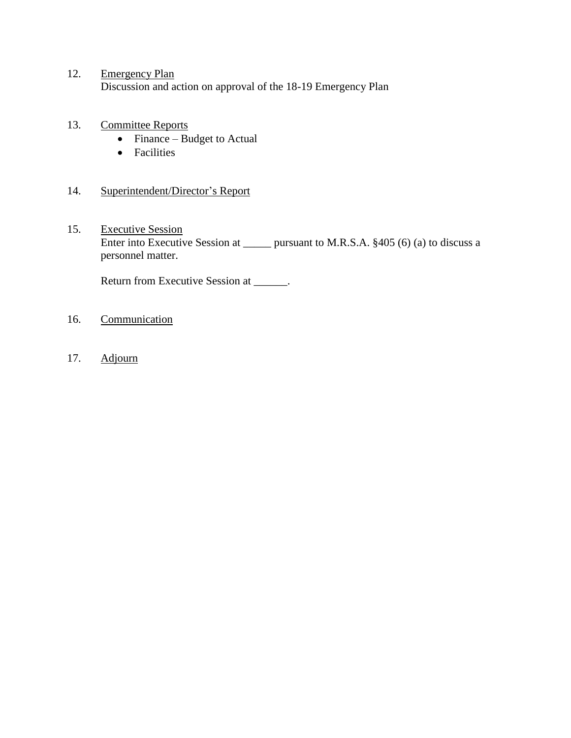- 12. Emergency Plan Discussion and action on approval of the 18-19 Emergency Plan
- 13. Committee Reports
	- $\bullet$  Finance Budget to Actual
	- Facilities
- 14. Superintendent/Director's Report
- 15. Executive Session Enter into Executive Session at \_\_\_\_\_\_ pursuant to M.R.S.A. §405 (6) (a) to discuss a personnel matter.

Return from Executive Session at \_\_\_\_\_\_.

- 16. Communication
- 17. Adjourn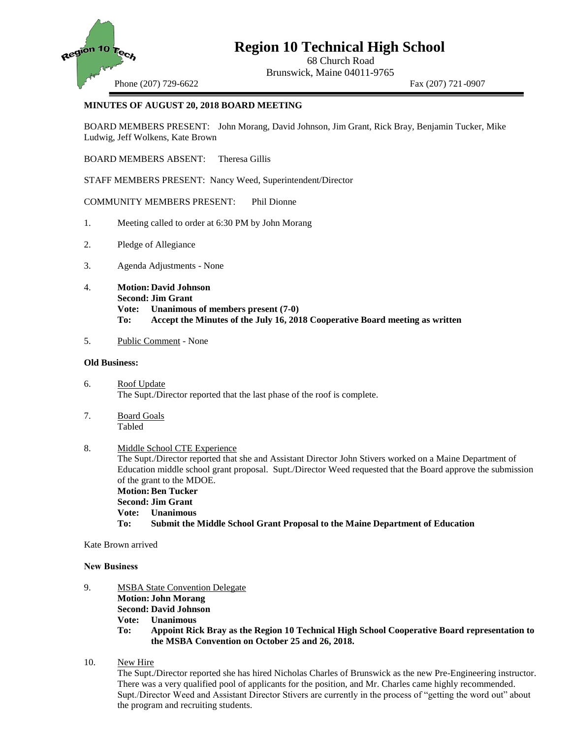

## **Region 10 Technical High School**

68 Church Road Brunswick, Maine 04011-9765

Phone (207) 729-6622 Fax (207) 721-0907

### **MINUTES OF AUGUST 20, 2018 BOARD MEETING**

BOARD MEMBERS PRESENT: John Morang, David Johnson, Jim Grant, Rick Bray, Benjamin Tucker, Mike Ludwig, Jeff Wolkens, Kate Brown

BOARD MEMBERS ABSENT: Theresa Gillis

STAFF MEMBERS PRESENT: Nancy Weed, Superintendent/Director

COMMUNITY MEMBERS PRESENT: Phil Dionne

- 1. Meeting called to order at 6:30 PM by John Morang
- 2. Pledge of Allegiance
- 3. Agenda Adjustments None
- 4. **Motion: David Johnson Second: Jim Grant Vote: Unanimous of members present (7-0) To: Accept the Minutes of the July 16, 2018 Cooperative Board meeting as written**
- 5. Public Comment None

### **Old Business:**

- 6. Roof Update The Supt./Director reported that the last phase of the roof is complete.
- 7. Board Goals Tabled

### 8. Middle School CTE Experience The Supt./Director reported that she and Assistant Director John Stivers worked on a Maine Department of Education middle school grant proposal. Supt./Director Weed requested that the Board approve the submission of the grant to the MDOE. **Motion: Ben Tucker Second: Jim Grant Vote: Unanimous To: Submit the Middle School Grant Proposal to the Maine Department of Education**

Kate Brown arrived

### **New Business**

- 9. MSBA State Convention Delegate **Motion: John Morang**
	- **Second: David Johnson**
	- **Vote: Unanimous**

**To: Appoint Rick Bray as the Region 10 Technical High School Cooperative Board representation to the MSBA Convention on October 25 and 26, 2018.**

10. New Hire

The Supt./Director reported she has hired Nicholas Charles of Brunswick as the new Pre-Engineering instructor. There was a very qualified pool of applicants for the position, and Mr. Charles came highly recommended. Supt./Director Weed and Assistant Director Stivers are currently in the process of "getting the word out" about the program and recruiting students.